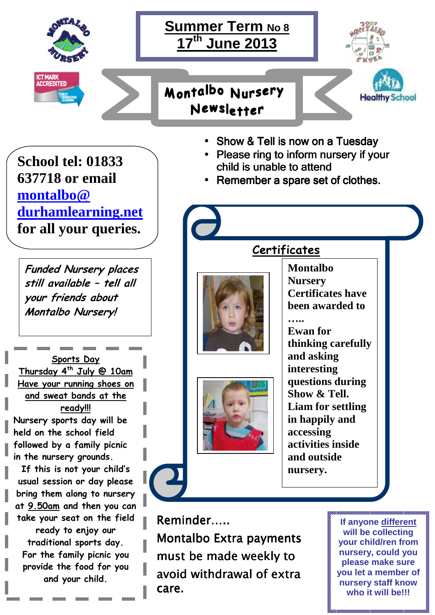